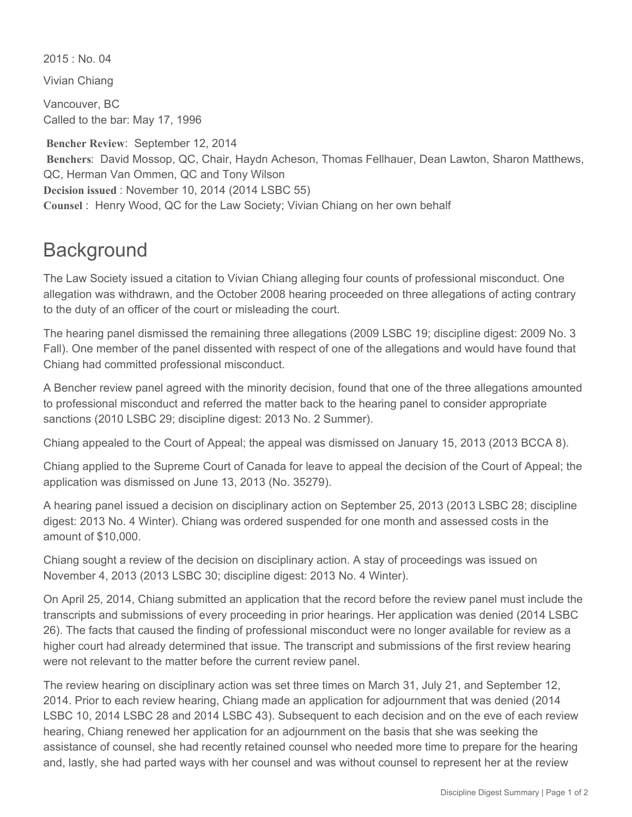$2015 \cdot$  No. 04

Vivian Chiang

Vancouver, BC Called to the bar: May 17, 1996

 **Bencher Review**: September 12, 2014 **Benchers**: David Mossop, QC, Chair, Haydn Acheson, Thomas Fellhauer, Dean Lawton, Sharon Matthews, QC, Herman Van Ommen, QC and Tony Wilson **Decision issued** : November 10, 2014 (2014 LSBC 55) **Counsel** : Henry Wood, QC for the Law Society; Vivian Chiang on her own behalf

## **Background**

The Law Society issued a citation to Vivian Chiang alleging four counts of professional misconduct. One allegation was withdrawn, and the October 2008 hearing proceeded on three allegations of acting contrary to the duty of an officer of the court or misleading the court.

The hearing panel dismissed the remaining three allegations (2009 LSBC 19; discipline digest: 2009 No. 3 Fall). One member of the panel dissented with respect of one of the allegations and would have found that Chiang had committed professional misconduct.

A Bencher review panel agreed with the minority decision, found that one of the three allegations amounted to professional misconduct and referred the matter back to the hearing panel to consider appropriate sanctions (2010 LSBC 29; discipline digest: 2013 No. 2 Summer).

Chiang appealed to the Court of Appeal; the appeal was dismissed on January 15, 2013 (2013 BCCA 8).

Chiang applied to the Supreme Court of Canada for leave to appeal the decision of the Court of Appeal; the application was dismissed on June 13, 2013 (No. 35279).

A hearing panel issued a decision on disciplinary action on September 25, 2013 (2013 LSBC 28; discipline digest: 2013 No. 4 Winter). Chiang was ordered suspended for one month and assessed costs in the amount of \$10,000.

Chiang sought a review of the decision on disciplinary action. A stay of proceedings was issued on November 4, 2013 (2013 LSBC 30; discipline digest: 2013 No. 4 Winter).

On April 25, 2014, Chiang submitted an application that the record before the review panel must include the transcripts and submissions of every proceeding in prior hearings. Her application was denied (2014 LSBC 26). The facts that caused the finding of professional misconduct were no longer available for review as a higher court had already determined that issue. The transcript and submissions of the first review hearing were not relevant to the matter before the current review panel.

The review hearing on disciplinary action was set three times on March 31, July 21, and September 12, 2014. Prior to each review hearing, Chiang made an application for adjournment that was denied (2014 LSBC 10, 2014 LSBC 28 and 2014 LSBC 43). Subsequent to each decision and on the eve of each review hearing, Chiang renewed her application for an adjournment on the basis that she was seeking the assistance of counsel, she had recently retained counsel who needed more time to prepare for the hearing and, lastly, she had parted ways with her counsel and was without counsel to represent her at the review